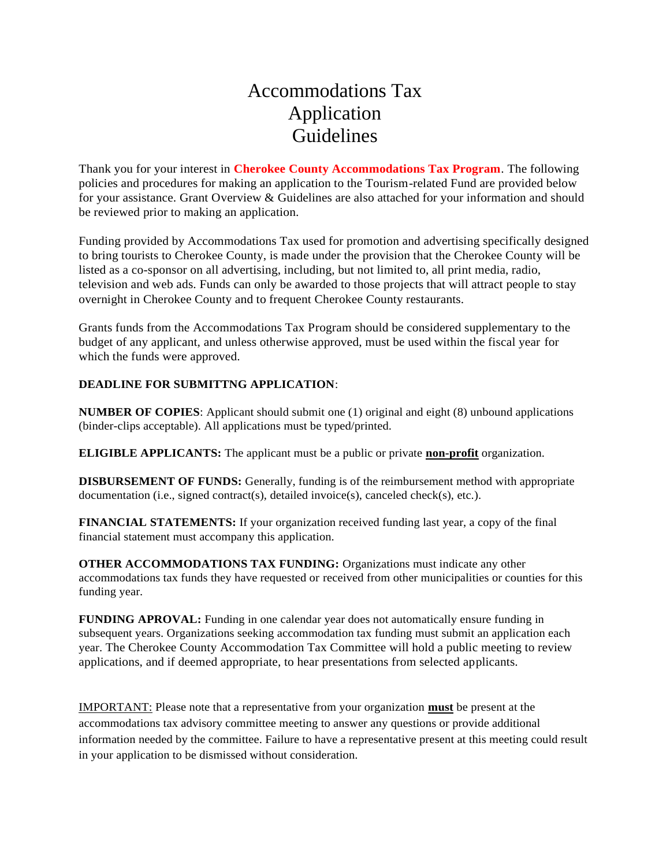#### Accommodations Tax Application Guidelines

Thank you for your interest in **Cherokee County Accommodations Tax Program**. The following policies and procedures for making an application to the Tourism-related Fund are provided below for your assistance. Grant Overview & Guidelines are also attached for your information and should be reviewed prior to making an application.

Funding provided by Accommodations Tax used for promotion and advertising specifically designed to bring tourists to Cherokee County, is made under the provision that the Cherokee County will be listed as a co-sponsor on all advertising, including, but not limited to, all print media, radio, television and web ads. Funds can only be awarded to those projects that will attract people to stay overnight in Cherokee County and to frequent Cherokee County restaurants.

Grants funds from the Accommodations Tax Program should be considered supplementary to the budget of any applicant, and unless otherwise approved, must be used within the fiscal year for which the funds were approved.

#### **DEADLINE FOR SUBMITTNG APPLICATION**:

**NUMBER OF COPIES**: Applicant should submit one (1) original and eight (8) unbound applications (binder-clips acceptable). All applications must be typed/printed.

**ELIGIBLE APPLICANTS:** The applicant must be a public or private **non-profit** organization.

**DISBURSEMENT OF FUNDS:** Generally, funding is of the reimbursement method with appropriate documentation (i.e., signed contract(s), detailed invoice(s), canceled check(s), etc.).

**FINANCIAL STATEMENTS:** If your organization received funding last year, a copy of the final financial statement must accompany this application.

**OTHER ACCOMMODATIONS TAX FUNDING:** Organizations must indicate any other accommodations tax funds they have requested or received from other municipalities or counties for this funding year.

**FUNDING APROVAL:** Funding in one calendar year does not automatically ensure funding in subsequent years. Organizations seeking accommodation tax funding must submit an application each year. The Cherokee County Accommodation Tax Committee will hold a public meeting to review applications, and if deemed appropriate, to hear presentations from selected applicants.

IMPORTANT: Please note that a representative from your organization **must** be present at the accommodations tax advisory committee meeting to answer any questions or provide additional information needed by the committee. Failure to have a representative present at this meeting could result in your application to be dismissed without consideration.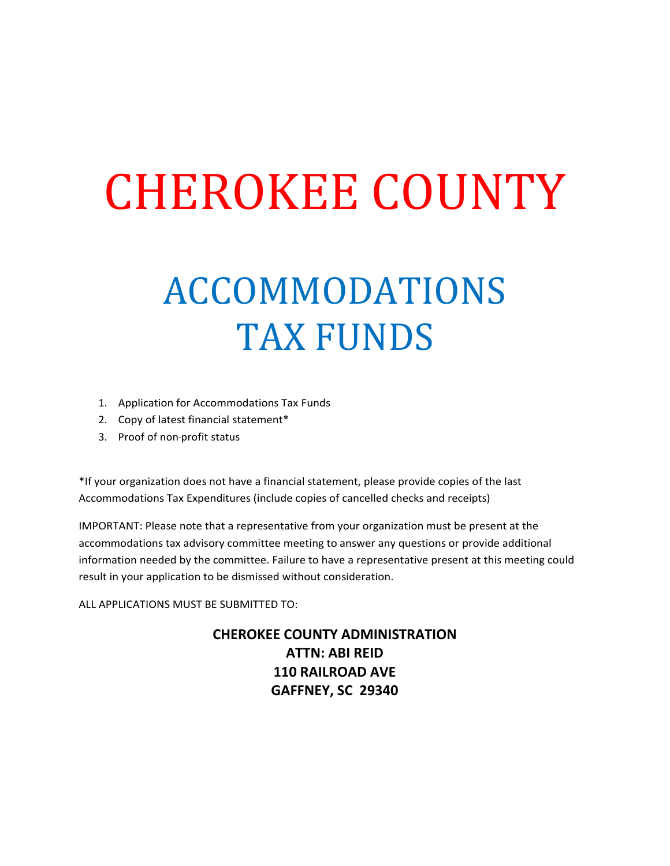# CHEROKEE COUNTY

## ACCOMMODATIONS TAX FUNDS

- 1. Application for Accommodations Tax Funds
- 2. Copy of latest financial statement\*
- 3. Proof of non-profit status

\*If your organization does not have a financial statement, please provide copies of the last Accommodations Tax Expenditures (include copies of cancelled checks and receipts)

IMPORTANT: Please note that a representative from your organization must be present at the accommodations tax advisory committee meeting to answer any questions or provide additional information needed by the committee. Failure to have a representative present at this meeting could result in your application to be dismissed without consideration.

ALL APPLICATIONS MUST BE SUBMITTED TO:

**CHEROKEE COUNTY ADMINISTRATION ATTN: ABI REID 110 RAILROAD AVE GAFFNEY, SC 29340**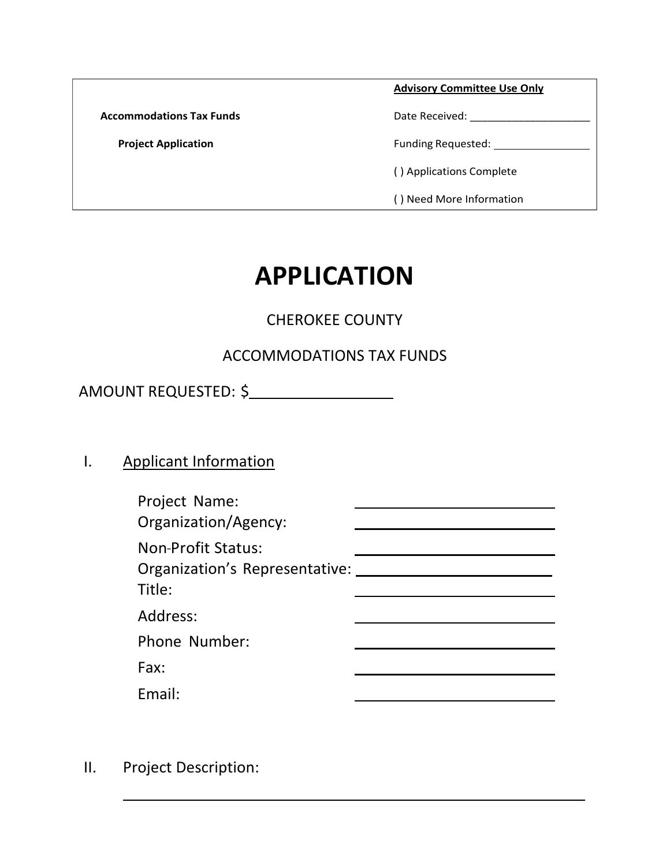|                                 | <b>Advisory Committee Use Only</b> |  |
|---------------------------------|------------------------------------|--|
| <b>Accommodations Tax Funds</b> | Date Received:                     |  |
| <b>Project Application</b>      | <b>Funding Requested:</b>          |  |
|                                 | () Applications Complete           |  |
|                                 | () Need More Information           |  |

### **APPLICATION**

#### CHEROKEE COUNTY

#### ACCOMMODATIONS TAX FUNDS

AMOUNT REQUESTED: \$

#### I. Applicant Information

| Project Name:<br>Organization/Agency:                          |  |
|----------------------------------------------------------------|--|
| Non-Profit Status:<br>Organization's Representative:<br>Title: |  |
| Address:                                                       |  |
| Phone Number:                                                  |  |
| Fax:                                                           |  |
| Fmail:                                                         |  |

II. Project Description: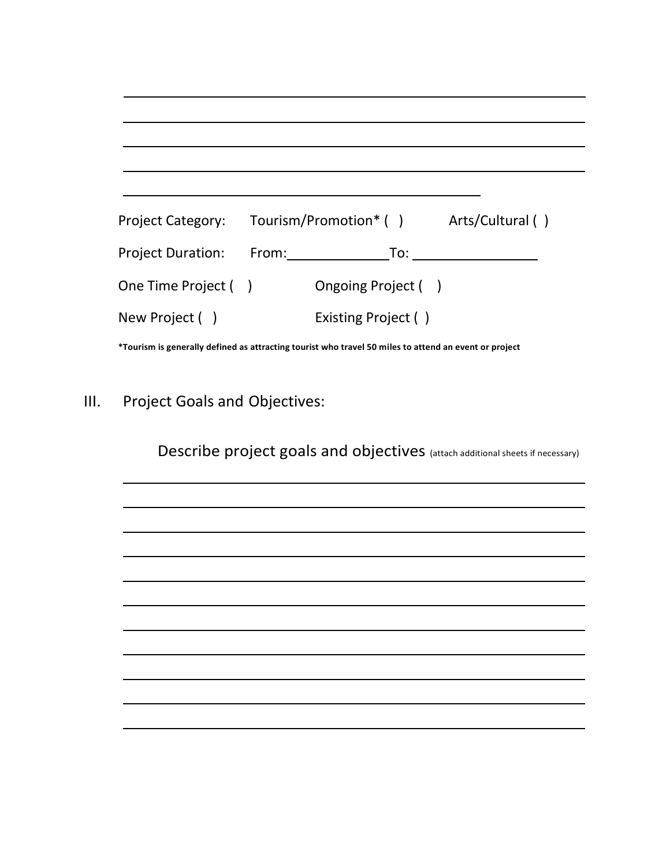|                          |                      | Project Category: Tourism/Promotion* () Arts/Cultural () |  |
|--------------------------|----------------------|----------------------------------------------------------|--|
| <b>Project Duration:</b> | From: <b>Example</b> | To:                                                      |  |
| One Time Project ( )     |                      | Ongoing Project ()                                       |  |
| New Project ()           |                      | Existing Project ()                                      |  |

**\*Tourism is generally defined as attracting tourist who travel 50 miles to attend an event or project**

III. Project Goals and Objectives:

Describe project goals and objectives (attach additional sheets if necessary)

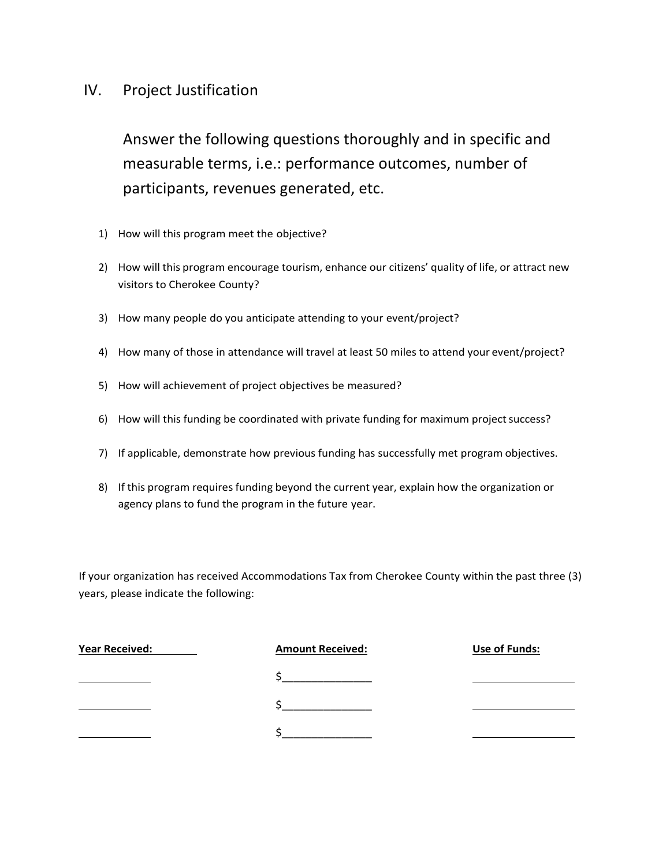#### IV. Project Justification

Answer the following questions thoroughly and in specific and measurable terms, i.e.: performance outcomes, number of participants, revenues generated, etc.

- 1) How will this program meet the objective?
- 2) How will this program encourage tourism, enhance our citizens' quality of life, or attract new visitors to Cherokee County?
- 3) How many people do you anticipate attending to your event/project?
- 4) How many of those in attendance will travel at least 50 miles to attend your event/project?
- 5) How will achievement of project objectives be measured?
- 6) How will this funding be coordinated with private funding for maximum project success?
- 7) If applicable, demonstrate how previous funding has successfully met program objectives.
- 8) If this program requires funding beyond the current year, explain how the organization or agency plans to fund the program in the future year.

If your organization has received Accommodations Tax from Cherokee County within the past three (3) years, please indicate the following:

| <b>Year Received:</b> | <b>Amount Received:</b> | <b>Use of Funds:</b> |
|-----------------------|-------------------------|----------------------|
|                       |                         |                      |
|                       |                         |                      |
|                       |                         |                      |